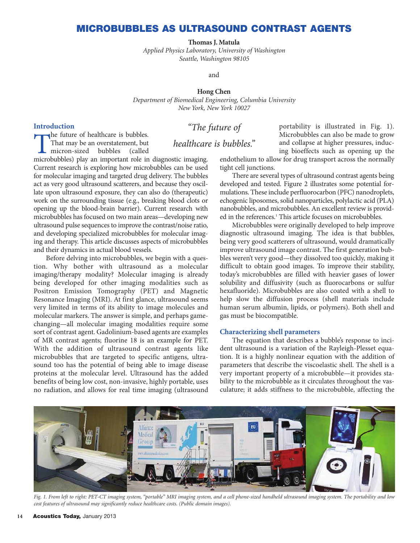## **MICROBUBBLES AS ULTRASOUND CONTRAST AGENTS**

**Thomas J. Matula**

*Applied Physics Laboratory, University of Washington Seattle, Washington 98105*

and

#### **Hong Chen**

*Department of Biomedical Engineering, Columbia University New York, New York 10027*

## **Introduction**

That may be an overstatement, but<br>micron-sized bubbles (called<br>microhubbles) play an important role in That may be an overstatement, but

# "The future of

healthcare is bubbles."

microbubbles) play an important role in diagnostic imaging. Current research is exploring how microbubbles can be used for molecular imaging and targeted drug delivery. The bubbles act as very good ultrasound scatterers, and because they oscillate upon ultrasound exposure, they can also do (therapeutic) work on the surrounding tissue (e.g., breaking blood clots or opening up the blood-brain barrier). Current research with microbubbles has focused on two main areas—developing new ultrasound pulse sequences to improve the contrast/noise ratio, and developing specialized microbubbles for molecular imaging and therapy. This article discusses aspects of microbubbles and their dynamics in actual blood vessels.

Before delving into microbubbles, we begin with a question. Why bother with ultrasound as a molecular imaging/therapy modality? Molecular imaging is already being developed for other imaging modalities such as Positron Emission Tomography (PET) and Magnetic Resonance Imaging (MRI). At first glance, ultrasound seems very limited in terms of its ability to image molecules and molecular markers. The answer is simple, and perhaps gamechanging—all molecular imaging modalities require some sort of contrast agent. Gadolinium-based agents are examples of MR contrast agents; fluorine 18 is an example for PET. With the addition of ultrasound contrast agents like microbubbles that are targeted to specific antigens, ultrasound too has the potential of being able to image disease proteins at the molecular level. Ultrasound has the added benefits of being low cost, non-invasive, highly portable, uses no radiation, and allows for real time imaging (ultrasound

portability is illustrated in Fig. 1). Microbubbles can also be made to grow and collapse at higher pressures, inducing bioeffects such as opening up the

endothelium to allow for drug transport across the normally tight cell junctions.

There are several types of ultrasound contrast agents being developed and tested. Figure 2 illustrates some potential formulations. These include perfluorocarbon (PFC) nanodroplets, echogenic liposomes, solid nanoparticles, polylactic acid (PLA) nanobubbles, and microbubbles. An excellent review is provided in the references.<sup>1</sup> This article focuses on microbubbles.

Microbubbles were originally developed to help improve diagnostic ultrasound imaging. The idea is that bubbles, being very good scatterers of ultrasound, would dramatically improve ultrasound image contrast. The first generation bubbles weren't very good—they dissolved too quickly, making it difficult to obtain good images. To improve their stability, today's microbubbles are filled with heavier gases of lower solubility and diffusivity (such as fluorocarbons or sulfur hexafluoride). Microbubbles are also coated with a shell to help slow the diffusion process (shell materials include human serum albumin, lipids, or polymers). Both shell and gas must be biocompatible.

## **Characterizing shell parameters**

The equation that describes a bubble's response to incident ultrasound is a variation of the Rayleigh-Plesset equation. It is a highly nonlinear equation with the addition of parameters that describe the viscoelastic shell. The shell is a very important property of a microbubble—it provides stability to the microbubble as it circulates throughout the vasculature; it adds stiffness to the microbubble, affecting the



*Fig. 1. From left to right: PET-CT imaging system, "portable" MRI imaging system, and a cell phone-sized handheld ultrasound imaging system. The portability and low cost features of ultrasound may significantly reduce healthcare costs. (Public domain images).*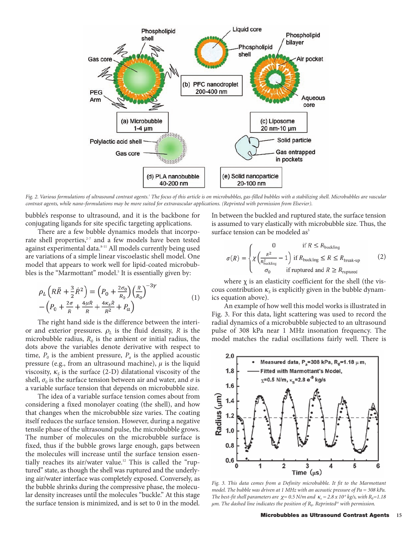

*Fig. 2. Various formulations of ultrasound contrast agents.1 The focus of this article is on microbubbles, gas-filled bubbles with a stabilizing shell. Microbubbles are vascular contrast agents, while nano-formulations may be more suited for extravascular applications. (Reprinted with permission from Elsevier).* 

bubble's response to ultrasound, and it is the backbone for conjugating ligands for site specific targeting applications.

There are a few bubble dynamics models that incorporate shell properties, $2z<sub>7</sub>$  and a few models have been tested against experimental data.<sup>8-11</sup> All models currently being used are variations of a simple linear viscoelastic shell model. One model that appears to work well for lipid-coated microbubbles is the "Marmottant" model.<sup>5</sup> It is essentially given by:

$$
\rho_L \left( R \ddot{R} + \frac{3}{2} \dot{R}^2 \right) = \left( P_0 + \frac{2\sigma_0}{R_0} \right) \left( \frac{R}{R_0} \right)^{-3\gamma} \n- \left( P_0 + \frac{2\sigma}{R} + \frac{4\mu \dot{R}}{R} + \frac{4\kappa_S \dot{R}}{R^2} + P_a \right)
$$
\n(1)

The right hand side is the difference between the interior and exterior pressures.  $\rho_L$  is the fluid density,  $R$  is the microbubble radius,  $R_0$  is the ambient or initial radius, the dots above the variables denote derivative with respect to time,  $P_0$  is the ambient pressure,  $P_a$  is the applied acoustic pressure (e.g., from an ultrasound machine),  $\mu$  is the liquid viscosity,  $\kappa_{\rm s}$  is the surface (2-D) dilatational viscosity of the shell,  $\sigma_0$  is the surface tension between air and water, and  $\sigma$  is a variable surface tension that depends on microbubble size.

The idea of a variable surface tension comes about from considering a fixed monolayer coating (the shell), and how that changes when the microbubble size varies. The coating itself reduces the surface tension. However, during a negative tensile phase of the ultrasound pulse, the microbubble grows. The number of molecules on the microbubble surface is fixed, thus if the bubble grows large enough, gaps between the molecules will increase until the surface tension essentially reaches its air/water value.<sup>12</sup> This is called the "ruptured" state, as though the shell was ruptured and the underlying air/water interface was completely exposed. Conversely, as the bubble shrinks during the compressive phase, the molecular density increases until the molecules "buckle." At this stage the surface tension is minimized, and is set to 0 in the model.

In between the buckled and ruptured state, the surface tension is assumed to vary elastically with microbubble size. Thus, the surface tension can be modeled as<sup>5</sup>

$$
\sigma(R) = \begin{cases}\n0 & \text{if } R \le R_{\text{buckling}} \\
\chi \left( \frac{R^2}{R_{\text{buckling}}^2} - 1 \right) & \text{if } R_{\text{buckling}} \le R \le R_{\text{break-up}} \\
\sigma_0 & \text{if ruptured and } R \ge R_{\text{ruptured}}\n\end{cases}
$$
\n(2)

where  $\chi$  is an elasticity coefficient for the shell (the viscous contribution  $\kappa_{\rm s}$  is explicitly given in the bubble dynamics equation above).

An example of how well this model works is illustrated in Fig. 3. For this data, light scattering was used to record the radial dynamics of a microbubble subjected to an ultrasound pulse of 308 kPa near 1 MHz insonation frequency. The model matches the radial oscillations fairly well. There is



*Fig. 3. This data comes from a Definity microbubble. It fit to the Marmottant model. The bubble was driven at 1 MHz with an acoustic pressure of Pa = 308 kPa. The best-fit shell parameters are*  $\chi = 0.5$  *N/m and*  $\kappa_s = 2.8 \times 10^9$  *kg/s, with*  $R_0 = 1.18$ *µm. The dashed line indicates the position of R*0*. Reprinted10 with permission.*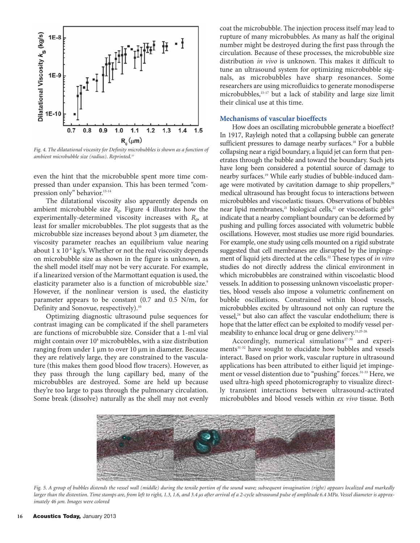

*Fig. 4. The dilatational viscosity for Definity microbubbles is shown as a function of ambient microbubble size (radius). Reprinted.10*

even the hint that the microbubble spent more time compressed than under expansion. This has been termed "compression only" behavior.13-14

The dilatational viscosity also apparently depends on ambient microbubble size  $R_0$ . Figure 4 illustrates how the experimentally-determined viscosity increases with  $R_0$ , at least for smaller microbubbles. The plot suggests that as the microbubble size increases beyond about 3 µm diameter, the viscosity parameter reaches an equilibrium value nearing about 1 x  $10^{-8}$  kg/s. Whether or not the real viscosity depends on microbubble size as shown in the figure is unknown, as the shell model itself may not be very accurate. For example, if a linearized version of the Marmottant equation is used, the elasticity parameter also is a function of microbubble size.<sup>9</sup> However, if the nonlinear version is used, the elasticity parameter appears to be constant (0.7 and 0.5 N/m, for Definity and Sonovue, respectively).<sup>10</sup>

Optimizing diagnostic ultrasound pulse sequences for contrast imaging can be complicated if the shell parameters are functions of microbubble size. Consider that a 1-ml vial might contain over 10<sup>8</sup> microbubbles, with a size distribution ranging from under 1 µm to over 10 µm in diameter. Because they are relatively large, they are constrained to the vasculature (this makes them good blood flow tracers). However, as they pass through the lung capillary bed, many of the microbubbles are destroyed. Some are held up because they're too large to pass through the pulmonary circulation. Some break (dissolve) naturally as the shell may not evenly coat the microbubble. The injection process itself may lead to rupture of many microbubbles. As many as half the original number might be destroyed during the first pass through the circulation. Because of these processes, the microbubble size distribution *in vivo* is unknown. This makes it difficult to tune an ultrasound system for optimizing microbubble signals, as microbubbles have sharp resonances. Some researchers are using microfluidics to generate monodisperse microbubbles,15-17 but a lack of stability and large size limit their clinical use at this time.

#### **Mechanisms of vascular bioeffects**

How does an oscillating microbubble generate a bioeffect? In 1917, Rayleigh noted that a collapsing bubble can generate sufficient pressures to damage nearby surfaces.<sup>18</sup> For a bubble collapsing near a rigid boundary, a liquid jet can form that penetrates through the bubble and toward the boundary. Such jets have long been considered a potential source of damage to nearby surfaces.19 While early studies of bubble-induced damage were motivated by cavitation damage to ship propellers,<sup>20</sup> medical ultrasound has brought focus to interactions between microbubbles and viscoelastic tissues. Observations of bubbles near lipid membranes,<sup>21</sup> biological cells,<sup>22</sup> or viscoelastic gels<sup>23</sup> indicate that a nearby compliant boundary can be deformed by pushing and pulling forces associated with volumetric bubble oscillations. However, most studies use more rigid boundaries. For example, one study using cells mounted on a rigid substrate suggested that cell membranes are disrupted by the impingement of liquid jets directed at the cells.<sup>22</sup> These types of *in vitro* studies do not directly address the clinical environment in which microbubbles are constrained within viscoelastic blood vessels. In addition to possessing unknown viscoelastic properties, blood vessels also impose a volumetric confinement on bubble oscillations. Constrained within blood vessels, microbubbles excited by ultrasound not only can rupture the vessel,<sup>24</sup> but also can affect the vascular endothelium; there is hope that the latter effect can be exploited to modify vessel permeability to enhance local drug or gene delivery.<sup>21,25-26</sup>

Accordingly, numerical simulations<sup>27-30</sup> and experiments<sup>31-32</sup> have sought to elucidate how bubbles and vessels interact. Based on prior work, vascular rupture in ultrasound applications has been attributed to either liquid jet impingement or vessel distention due to "pushing" forces.<sup>31-33</sup> Here, we used ultra-high speed photomicrography to visualize directly transient interactions between ultrasound-activated microbubbles and blood vessels within *ex vivo* tissue. Both



*Fig. 5. A group of bubbles distends the vessel wall (middle) during the tensile portion of the sound wave; subsequent invagination (right) appears localized and markedly larger than the distention. Time stamps are, from left to right, 1.3, 1.6, and 3.4 µs after arrival of a 2-cycle ultrasound pulse of amplitude 6.4 MPa. Vessel diameter is approximately 46 µm. Images were colored*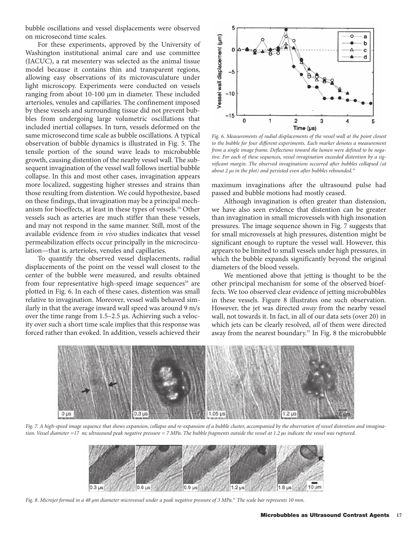bubble oscillations and vessel displacements were observed on microsecond time scales.

For these experiments, approved by the University of Washington institutional animal care and use committee (IACUC), a rat mesentery was selected as the animal tissue model because it contains thin and transparent regions, allowing easy observations of its microvasculature under light microscopy. Experiments were conducted on vessels ranging from about 10-100 µm in diameter. These included arterioles, venules and capillaries. The confinement imposed by these vessels and surrounding tissue did not prevent bubbles from undergoing large volumetric oscillations that included inertial collapses. In turn, vessels deformed on the same microsecond time scale as bubble oscillations. A typical observation of bubble dynamics is illustrated in Fig. 5. The tensile portion of the sound wave leads to microbubble growth, causing distention of the nearby vessel wall. The subsequent invagination of the vessel wall follows inertial bubble collapse. In this and most other cases, invagination appears more localized, suggesting higher stresses and strains than those resulting from distention. We could hypothesize, based on these findings, that invagination may be a principal mechanism for bioeffects, at least in these types of vessels.<sup>34</sup> Other vessels such as arteries are much stiffer than these vessels, and may not respond in the same manner. Still, most of the available evidence from *in vivo* studies indicates that vessel permeabilization effects occur principally in the microcirculation—that is, arterioles, venules and capillaries.

To quantify the observed vessel displacements, radial displacements of the point on the vessel wall closest to the center of the bubble were measured, and results obtained from four representative high-speed image sequences<sup>34</sup> are plotted in Fig. 6. In each of these cases, distention was small relative to invagination. Moreover, vessel walls behaved similarly in that the average inward wall speed was around 9 m/s over the time range from 1.5–2.5 µs. Achieving such a velocity over such a short time scale implies that this response was forced rather than evoked. In addition, vessels achieved their



*Fig. 6. Measurements of radial displacements of the vessel wall at the point closest to the bubble for four different experiments. Each marker denotes a measurement from a single image frame. Deflections toward the lumen were defined to be negative. For each of these sequences, vessel invagination exceeded distention by a significant margin. The observed invaginations occurred after bubbles collapsed (at about 2 µs in the plot) and persisted even after bubbles rebounded.34*

maximum invaginations after the ultrasound pulse had passed and bubble motions had mostly ceased.

Although invagination is often greater than distension, we have also seen evidence that distention can be greater than invagination in small microvessels with high insonation pressures. The image sequence shown in Fig. 7 suggests that for small microvessels at high pressures, distention might be significant enough to rupture the vessel wall. However, this appears to be limited to small vessels under high pressures, in which the bubble expands significantly beyond the original diameters of the blood vessels.

We mentioned above that jetting is thought to be the other principal mechanism for some of the observed bioeffects. We too observed clear evidence of jetting microbubbles in these vessels. Figure 8 illustrates one such observation. However, the jet was directed *away* from the nearby vessel wall, not towards it. In fact, in all of our data sets (over 20) in which jets can be clearly resolved, *all* of them were directed away from the nearest boundary.<sup>35</sup> In Fig. 8 the microbubble



*Fig. 7. A high-speed image sequence that shows expansion, collapse and re-expansion of a bubble cluster, accompanied by the observation of vessel distention and invagina*tion. Vessel diameter =17 m; ultrasound peak negative pressure = 7 MPa. The bubble fragments outside the vessel at 1.2 µs indicate the vessel was ruptured.



*Fig. 8. Microjet formed in a 48 µm diameter microvessel under a peak negative pressure of 3 MPa.35 The scale bar represents 10 mm.*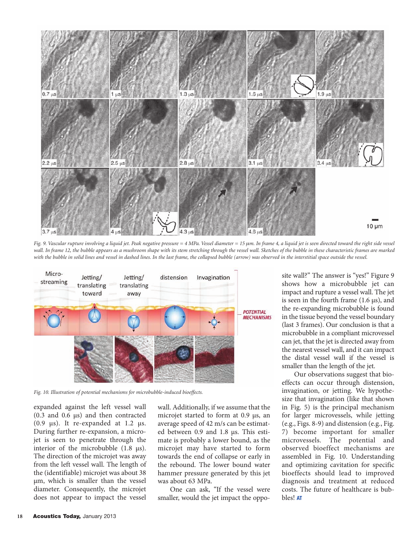

*Fig.* 9. Vascular rupture involving a liquid jet. Peak negative pressure = 4 MPa. Vessel diameter = 15 µm. In frame 4, a liquid jet is seen directed toward the right side vessel *wall. In frame 12, the bubble appears as a mushroom shape with its stem stretching through the vessel wall. Sketches of the bubble in these characteristic frames are marked with the bubble in solid lines and vessel in dashed lines. In the last frame, the collapsed bubble (arrow) was observed in the interstitial space outside the vessel.*



*Fig. 10. Illustration of potential mechanisms for microbubble-induced bioeffects.*

expanded against the left vessel wall (0.3 and 0.6 µs) and then contracted  $(0.9 \text{ }\mu\text{s})$ . It re-expanded at 1.2  $\mu\text{s}$ . During further re-expansion, a microjet is seen to penetrate through the interior of the microbubble  $(1.8 \mu s)$ . The direction of the microjet was away from the left vessel wall. The length of the (identifiable) microjet was about 38 µm, which is smaller than the vessel diameter. Consequently, the microjet does not appear to impact the vessel

wall. Additionally, if we assume that the microjet started to form at 0.9 µs, an average speed of 42 m/s can be estimated between 0.9 and 1.8 µs. This estimate is probably a lower bound, as the microjet may have started to form towards the end of collapse or early in the rebound. The lower bound water hammer pressure generated by this jet was about 63 MPa.

One can ask, "If the vessel were smaller, would the jet impact the opposite wall?" The answer is "yes!" Figure 9 shows how a microbubble jet can impact and rupture a vessel wall. The jet is seen in the fourth frame (1.6 µs), and the re-expanding microbubble is found in the tissue beyond the vessel boundary (last 3 frames). Our conclusion is that a microbubble in a compliant microvessel can jet, that the jet is directed away from the nearest vessel wall, and it can impact the distal vessel wall if the vessel is smaller than the length of the jet.

Our observations suggest that bioeffects can occur through distension, invagination, or jetting. We hypothesize that invagination (like that shown in Fig. 5) is the principal mechanism for larger microvessels, while jetting (e.g., Figs. 8-9) and distension (e.g., Fig. 7) become important for smaller microvessels. The potential and observed bioeffect mechanisms are assembled in Fig. 10. Understanding and optimizing cavitation for specific bioeffects should lead to improved diagnosis and treatment at reduced costs. The future of healthcare is bubbles! **AT**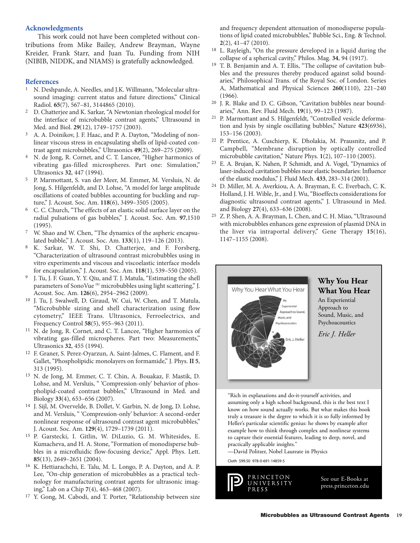### **Acknowledgments**

This work could not have been completed without contributions from Mike Bailey, Andrew Brayman, Wayne Kreider, Frank Starr, and Juan Tu. Funding from NIH (NIBIB, NIDDK, and NIAMS) is gratefully acknowledged.

#### **References**

- 1 N. Deshpande, A. Needles, and J.K. Willmann, "Molecular ultrasound imaging: current status and future directions," Clinical Radiol. **65**(7), 567–81, 3144865 (2010).
- 2 D. Chatterjee and K. Sarkar, "A Newtonian rheological model for the interface of microbubble contrast agents," Ultrasound in Med. and Biol. **29**(12), 1749–1757 (2003).
- 3 A. A. Doinikov, J. F. Haac, and P. A. Dayton, "Modeling of nonlinear viscous stress in encapsulating shells of lipid-coated contrast agent microbubbles," Ultrasonics **49**(2), 269–275 (2009).
- 4 N. de Jong, R. Cornet, and C. T. Lancee, "Higher harmonics of vibrating gas-filled microspheres. Part one: Simulation," Ultrasonics **32**, 447 (1994).
- 5 P. Marmottant, S. van der Meer, M. Emmer, M. Versluis, N. de Jong, S. Hilgenfeldt, and D. Lohse, "A model for large amplitude oscillations of coated bubbles accounting for buckling and rupture," J. Acoust. Soc. Am. **118**(6), 3499–3505 (2005).
- 6 C. C. Church, "The effects of an elastic solid surface layer on the radial pulsations of gas bubbles," J. Acoust. Soc. Am. **97**,1510 (1995).
- 7 W. Shao and W. Chen, "The dynamics of the aspheric encapsulated bubble," J. Acoust. Soc. Am. **133**(1), 119–126 (2013).
- 8 K. Sarkar, W. T. Shi, D. Chatterjee, and F. Forsberg, "Characterization of ultrasound contrast microbubbles using in vitro experiments and viscous and viscoelastic interface models for encapsulation," J. Acoust. Soc. Am. **118**(1), 539–550 (2005).
- 9 J. Tu, J. F. Guan, Y. Y. Qiu, and T. J. Matula, "Estimating the shell parameters of SonoVue<sup>(R)</sup> microbubbles using light scattering," J. Acoust. Soc. Am. **126**(6), 2954–2962 (2009).
- 10 J. Tu, J. Swalwell, D. Giraud, W. Cui, W. Chen, and T. Matula, "Microbubble sizing and shell characterization using flow cytometry," IEEE Trans. Ultrasonics, Ferroelectrics, and Frequency Control **58**(5), 955–963 (2011).
- 11 N. de Jong, R. Cornet, and C. T. Lancee, "Higher harmonics of vibrating gas-filled microspheres. Part two: Measurements," Ultrasonics **32**, 455 (1994).
- 12 F. Graner, S. Perez-Oyarzun, A. Saint-Jalmes, C. Flament, and F. Gallet, "Phospholipidic monolayers on formamide," J. Phys. **II 5**, 313 (1995).
- 13 N. de Jong, M. Emmer, C. T. Chin, A. Bouakaz, F. Mastik, D. Lohse, and M. Versluis, " 'Compression-only' behavior of phospholipid-coated contrast bubbles," Ultrasound in Med. and Biology **33**(4), 653–656 (2007).
- 14 J. Sijl, M. Overvelde, B. Dollet, V. Garbin, N. de Jong, D. Lohse, and M. Versluis, " 'Compression-only' behavior: A second-order nonlinear response of ultrasound contrast agent microbubbles," J. Acoust. Soc. Am. **129**(4), 1729–1739 (2011).
- 15 P. Garstecki, I. Gitlin, W. DiLuzio, G. M. Whitesides, E. Kumacheva, and H. A. Stone, "Formation of monodisperse bubbles in a microfluidic flow-focusing device," Appl. Phys. Lett. **85**(13), 2649–2651 (2004).
- 16 K. Hettiarachchi, E. Talu, M. L. Longo, P. A. Dayton, and A. P. Lee, "On-chip generation of microbubbles as a practical technology for manufacturing contrast agents for ultrasonic imaging," Lab on a Chip **7**(4), 463–468 (2007).
- 17 Y. Gong, M. Cabodi, and T. Porter, "Relationship between size

and frequency dependent attenuation of monodisperse populations of lipid coated microbubbles," Bubble Sci., Eng. & Technol. **2**(2), 41–47 (2010).

- 18 L. Rayleigh, "On the pressure developed in a liquid during the collapse of a spherical cavity," Philos. Mag. **34**, 94 (1917).
- T. B. Benjamin and A. T. Ellis, "The collapse of cavitation bubbles and the pressures thereby produced against solid boundaries," Philosophical Trans. of the Royal Soc. of London. Series A, Mathematical and Physical Sciences **260**(1110), 221–240 (1966).
- 20 J. R. Blake and D. C. Gibson, "Cavitation bubbles near boundaries," Ann. Rev. Fluid Mech. **19**(1), 99–123 (1987).
- 21 P. Marmottant and S. Hilgenfeldt, "Controlled vesicle deformation and lysis by single oscillating bubbles," Nature **423**(6936), 153–156 (2003).
- 22 P. Prentice, A. Cuschierp, K. Dholakia, M. Prausnitz, and P. Campbell, "Membrane disruption by optically controlled microbubble cavitation," Nature Phys. **1**(2), 107–110 (2005).
- E. A. Brujan, K. Nahen, P. Schmidt, and A. Vogel, "Dynamics of laser-induced cavitation bubbles near elastic boundaries: Influence of the elastic modulus," J. Fluid Mech. **433**, 283–314 (2001).
- 24 D. Miller, M. A. Averkiou, A. A. Brayman, E. C. Everbach, C. K. Holland, J. H. Wible, Jr., and J. Wu, "Bioeffects considerations for diagnostic ultrasound contrast agents," J. Ultrasound in Med. and Biology **27**(4), 633–636 (2008).
- 25 Z. P. Shen, A. A. Brayman, L. Chen, and C. H. Miao, "Ultrasound with microbubbles enhances gene expression of plasmid DNA in the liver via intraportal delivery," Gene Therapy **15**(16), 1147–1155 (2008).



"Rich in explanations and do-it-yourself activities, and assuming only a high school background, this is the best text I know on how sound actually works. But what makes this book truly a treasure is the degree to which it is so fully informed by Heller's particular scientific genius: he shows by example after example how to think through complex and nonlinear systems to capture their essential features, leading to deep, novel, and practically applicable insights."

—David Politzer, Nobel Laureate in Physics

Cloth \$99.50 978-0-691-14859-5